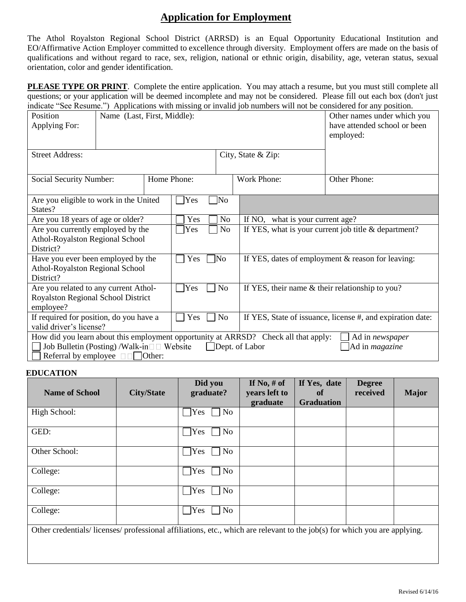## **Application for Employment**

The Athol Royalston Regional School District (ARRSD) is an Equal Opportunity Educational Institution and EO/Affirmative Action Employer committed to excellence through diversity. Employment offers are made on the basis of qualifications and without regard to race, sex, religion, national or ethnic origin, disability, age, veteran status, sexual orientation, color and gender identification.

**PLEASE TYPE OR PRINT**. Complete the entire application. You may attach a resume, but you must still complete all questions; or your application will be deemed incomplete and may not be considered. Please fill out each box (don't just indicate "See Resume.") Applications with missing or invalid job numbers will not be considered for any position.

| Position<br>Applying For:                                                                                                                                                                                                                   | Name (Last, First, Middle): |           |                          |                                                      |                                                            | Other names under which you<br>have attended school or been<br>employed: |  |  |
|---------------------------------------------------------------------------------------------------------------------------------------------------------------------------------------------------------------------------------------------|-----------------------------|-----------|--------------------------|------------------------------------------------------|------------------------------------------------------------|--------------------------------------------------------------------------|--|--|
| <b>Street Address:</b>                                                                                                                                                                                                                      |                             |           |                          |                                                      | City, State & Zip:                                         |                                                                          |  |  |
| <b>Social Security Number:</b>                                                                                                                                                                                                              |                             |           | Home Phone:              |                                                      | <b>Work Phone:</b>                                         | Other Phone:                                                             |  |  |
| Are you eligible to work in the United<br>States?                                                                                                                                                                                           |                             |           | Yes                      | No                                                   |                                                            |                                                                          |  |  |
| Are you 18 years of age or older?                                                                                                                                                                                                           |                             |           | Yes                      | N <sub>o</sub>                                       | what is your current age?<br>If NO,                        |                                                                          |  |  |
| Are you currently employed by the                                                                                                                                                                                                           |                             | No<br>Yes |                          | If YES, what is your current job title & department? |                                                            |                                                                          |  |  |
| Athol-Royalston Regional School<br>District?                                                                                                                                                                                                |                             |           |                          |                                                      |                                                            |                                                                          |  |  |
| Have you ever been employed by the<br><b>Athol-Royalston Regional School</b><br>District?                                                                                                                                                   |                             |           | $\blacksquare$ No<br>Yes |                                                      | If YES, dates of employment & reason for leaving:          |                                                                          |  |  |
| Are you related to any current Athol-                                                                                                                                                                                                       |                             |           | No<br>Yes                |                                                      | If YES, their name & their relationship to you?            |                                                                          |  |  |
| Royalston Regional School District<br>employee?                                                                                                                                                                                             |                             |           |                          |                                                      |                                                            |                                                                          |  |  |
| If required for position, do you have a<br>valid driver's license?                                                                                                                                                                          |                             |           | N <sub>o</sub><br>Yes    |                                                      | If YES, State of issuance, license #, and expiration date: |                                                                          |  |  |
| How did you learn about this employment opportunity at ARRSD? Check all that apply:<br>Ad in newspaper<br>Job Bulletin (Posting) /Walk-in□□ Website<br>Dept. of Labor<br>Ad in <i>magazine</i><br>Referral by employee $\Box$ $\Box$ Other: |                             |           |                          |                                                      |                                                            |                                                                          |  |  |

## **EDUCATION**

| <b>Name of School</b>                                                                                                    | <b>City/State</b> | Did you<br>graduate?         | If No, $#$ of<br>years left to | If Yes, date<br>of | <b>Degree</b><br>received | <b>Major</b> |
|--------------------------------------------------------------------------------------------------------------------------|-------------------|------------------------------|--------------------------------|--------------------|---------------------------|--------------|
|                                                                                                                          |                   |                              | graduate                       | <b>Graduation</b>  |                           |              |
| High School:                                                                                                             |                   | $\gamma$<br>No               |                                |                    |                           |              |
| GED:                                                                                                                     |                   | Yes<br>No                    |                                |                    |                           |              |
| Other School:                                                                                                            |                   | $\gamma$ <sub>es</sub><br>No |                                |                    |                           |              |
| College:                                                                                                                 |                   | No<br>Yes                    |                                |                    |                           |              |
| College:                                                                                                                 |                   | Yes<br>No                    |                                |                    |                           |              |
| College:                                                                                                                 |                   | <b>Yes</b><br>No             |                                |                    |                           |              |
| Other credentials/licenses/professional affiliations, etc., which are relevant to the job(s) for which you are applying. |                   |                              |                                |                    |                           |              |
|                                                                                                                          |                   |                              |                                |                    |                           |              |